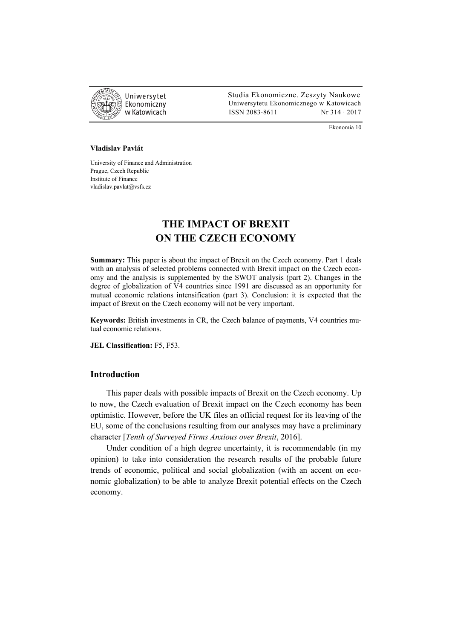

 Studia Ekonomiczne. Zeszyty Naukowe Ekonomiczny Uniwersytetu Ekonomicznego w Katowicach w Katowicach Matsus (ISSN 2083-8611 Nr 314 · 2017

Ekonomia 10

#### **Vladislav Pavlát**

University of Finance and Administration Prague, Czech Republic Institute of Finance vladislav.pavlat@vsfs.cz

# **THE IMPACT OF BREXIT ON THE CZECH ECONOMY**

**Summary:** This paper is about the impact of Brexit on the Czech economy. Part 1 deals with an analysis of selected problems connected with Brexit impact on the Czech economy and the analysis is supplemented by the SWOT analysis (part 2). Changes in the degree of globalization of V4 countries since 1991 are discussed as an opportunity for mutual economic relations intensification (part 3). Conclusion: it is expected that the impact of Brexit on the Czech economy will not be very important.

**Keywords:** British investments in CR, the Czech balance of payments, V4 countries mutual economic relations.

**JEL Classification:** F5, F53.

## **Introduction**

This paper deals with possible impacts of Brexit on the Czech economy. Up to now, the Czech evaluation of Brexit impact on the Czech economy has been optimistic. However, before the UK files an official request for its leaving of the EU, some of the conclusions resulting from our analyses may have a preliminary character [*Tenth of Surveyed Firms Anxious over Brexit*, 2016].

Under condition of a high degree uncertainty, it is recommendable (in my opinion) to take into consideration the research results of the probable future trends of economic, political and social globalization (with an accent on economic globalization) to be able to analyze Brexit potential effects on the Czech economy.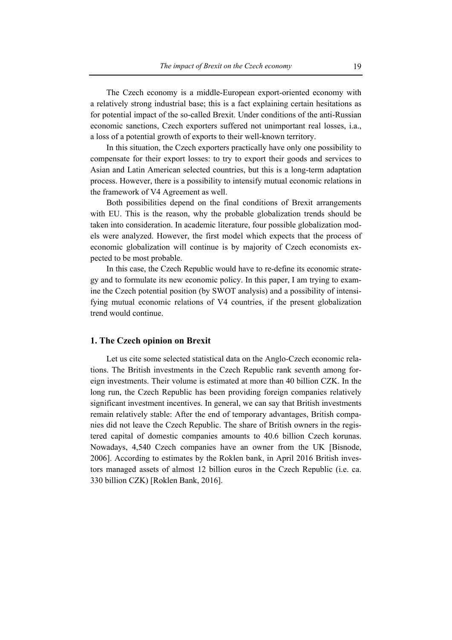The Czech economy is a middle-European export-oriented economy with a relatively strong industrial base; this is a fact explaining certain hesitations as for potential impact of the so-called Brexit. Under conditions of the anti-Russian economic sanctions, Czech exporters suffered not unimportant real losses, i.a., a loss of a potential growth of exports to their well-known territory.

In this situation, the Czech exporters practically have only one possibility to compensate for their export losses: to try to export their goods and services to Asian and Latin American selected countries, but this is a long-term adaptation process. However, there is a possibility to intensify mutual economic relations in the framework of V4 Agreement as well.

Both possibilities depend on the final conditions of Brexit arrangements with EU. This is the reason, why the probable globalization trends should be taken into consideration. In academic literature, four possible globalization models were analyzed. However, the first model which expects that the process of economic globalization will continue is by majority of Czech economists expected to be most probable.

In this case, the Czech Republic would have to re-define its economic strategy and to formulate its new economic policy. In this paper, I am trying to examine the Czech potential position (by SWOT analysis) and a possibility of intensifying mutual economic relations of V4 countries, if the present globalization trend would continue.

### **1. The Czech opinion on Brexit**

Let us cite some selected statistical data on the Anglo-Czech economic relations. The British investments in the Czech Republic rank seventh among foreign investments. Their volume is estimated at more than 40 billion CZK. In the long run, the Czech Republic has been providing foreign companies relatively significant investment incentives. In general, we can say that British investments remain relatively stable: After the end of temporary advantages, British companies did not leave the Czech Republic. The share of British owners in the registered capital of domestic companies amounts to 40.6 billion Czech korunas. Nowadays, 4,540 Czech companies have an owner from the UK [Bisnode, 2006]. According to estimates by the Roklen bank, in April 2016 British investors managed assets of almost 12 billion euros in the Czech Republic (i.e. ca. 330 billion CZK) [Roklen Bank, 2016].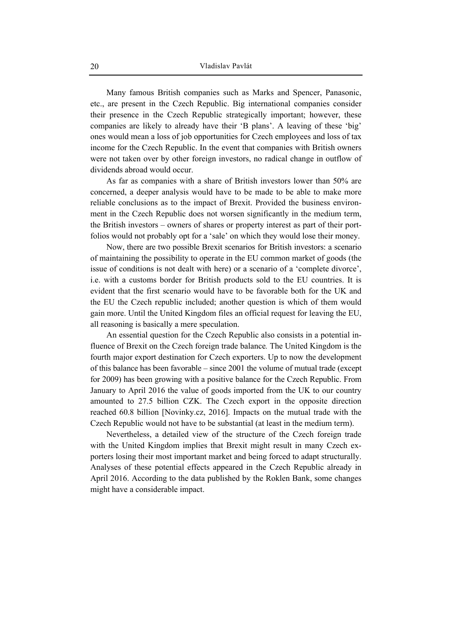Many famous British companies such as Marks and Spencer, Panasonic, etc., are present in the Czech Republic. Big international companies consider their presence in the Czech Republic strategically important; however, these companies are likely to already have their 'B plans'. A leaving of these 'big' ones would mean a loss of job opportunities for Czech employees and loss of tax income for the Czech Republic. In the event that companies with British owners were not taken over by other foreign investors, no radical change in outflow of dividends abroad would occur.

As far as companies with a share of British investors lower than 50% are concerned, a deeper analysis would have to be made to be able to make more reliable conclusions as to the impact of Brexit. Provided the business environment in the Czech Republic does not worsen significantly in the medium term, the British investors – owners of shares or property interest as part of their portfolios would not probably opt for a 'sale' on which they would lose their money.

Now, there are two possible Brexit scenarios for British investors: a scenario of maintaining the possibility to operate in the EU common market of goods (the issue of conditions is not dealt with here) or a scenario of a 'complete divorce', i.e. with a customs border for British products sold to the EU countries. It is evident that the first scenario would have to be favorable both for the UK and the EU the Czech republic included; another question is which of them would gain more. Until the United Kingdom files an official request for leaving the EU, all reasoning is basically a mere speculation.

An essential question for the Czech Republic also consists in a potential influence of Brexit on the Czech foreign trade balance*.* The United Kingdom is the fourth major export destination for Czech exporters. Up to now the development of this balance has been favorable – since 2001 the volume of mutual trade (except for 2009) has been growing with a positive balance for the Czech Republic. From January to April 2016 the value of goods imported from the UK to our country amounted to 27.5 billion CZK. The Czech export in the opposite direction reached 60.8 billion [Novinky.cz, 2016]. Impacts on the mutual trade with the Czech Republic would not have to be substantial (at least in the medium term).

Nevertheless, a detailed view of the structure of the Czech foreign trade with the United Kingdom implies that Brexit might result in many Czech exporters losing their most important market and being forced to adapt structurally. Analyses of these potential effects appeared in the Czech Republic already in April 2016. According to the data published by the Roklen Bank, some changes might have a considerable impact.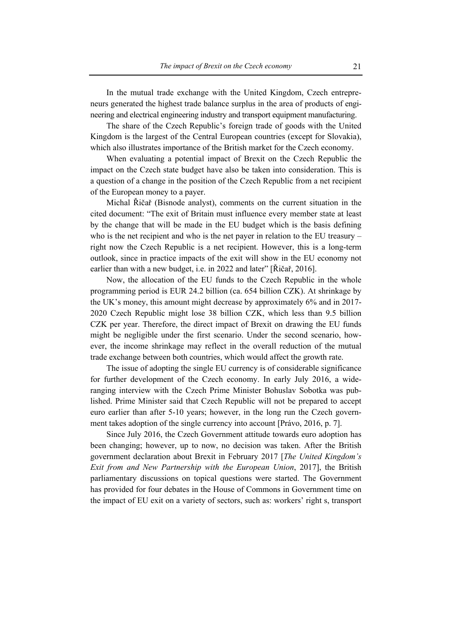In the mutual trade exchange with the United Kingdom, Czech entrepreneurs generated the highest trade balance surplus in the area of products of engineering and electrical engineering industry and transport equipment manufacturing.

The share of the Czech Republic's foreign trade of goods with the United Kingdom is the largest of the Central European countries (except for Slovakia), which also illustrates importance of the British market for the Czech economy.

When evaluating a potential impact of Brexit on the Czech Republic the impact on the Czech state budget have also be taken into consideration. This is a question of a change in the position of the Czech Republic from a net recipient of the European money to a payer.

Michal Řičař (Bisnode analyst), comments on the current situation in the cited document: "The exit of Britain must influence every member state at least by the change that will be made in the EU budget which is the basis defining who is the net recipient and who is the net payer in relation to the EU treasury – right now the Czech Republic is a net recipient. However, this is a long-term outlook, since in practice impacts of the exit will show in the EU economy not earlier than with a new budget, i.e. in 2022 and later" [Řičař, 2016].

Now, the allocation of the EU funds to the Czech Republic in the whole programming period is EUR 24.2 billion (ca. 654 billion CZK). At shrinkage by the UK's money, this amount might decrease by approximately 6% and in 2017- 2020 Czech Republic might lose 38 billion CZK, which less than 9.5 billion CZK per year. Therefore, the direct impact of Brexit on drawing the EU funds might be negligible under the first scenario. Under the second scenario, however, the income shrinkage may reflect in the overall reduction of the mutual trade exchange between both countries, which would affect the growth rate.

The issue of adopting the single EU currency is of considerable significance for further development of the Czech economy. In early July 2016, a wideranging interview with the Czech Prime Minister Bohuslav Sobotka was published. Prime Minister said that Czech Republic will not be prepared to accept euro earlier than after 5-10 years; however, in the long run the Czech government takes adoption of the single currency into account [Právo, 2016, p. 7].

Since July 2016, the Czech Government attitude towards euro adoption has been changing; however, up to now, no decision was taken. After the British government declaration about Brexit in February 2017 [*The United Kingdom's Exit from and New Partnership with the European Union*, 2017], the British parliamentary discussions on topical questions were started. The Government has provided for four debates in the House of Commons in Government time on the impact of EU exit on a variety of sectors, such as: workers' right s, transport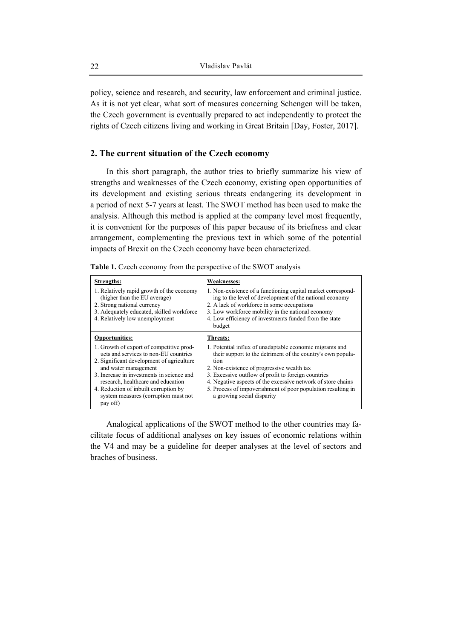policy, science and research, and security, law enforcement and criminal justice. As it is not yet clear, what sort of measures concerning Schengen will be taken, the Czech government is eventually prepared to act independently to protect the rights of Czech citizens living and working in Great Britain [Day, Foster, 2017].

# **2. The current situation of the Czech economy**

In this short paragraph, the author tries to briefly summarize his view of strengths and weaknesses of the Czech economy, existing open opportunities of its development and existing serious threats endangering its development in a period of next 5-7 years at least. The SWOT method has been used to make the analysis. Although this method is applied at the company level most frequently, it is convenient for the purposes of this paper because of its briefness and clear arrangement, complementing the previous text in which some of the potential impacts of Brexit on the Czech economy have been characterized.

| Table 1. Czech economy from the perspective of the SWOT analysis |  |  |  |  |  |  |  |  |
|------------------------------------------------------------------|--|--|--|--|--|--|--|--|
|------------------------------------------------------------------|--|--|--|--|--|--|--|--|

| Strengths:<br>1. Relatively rapid growth of the economy<br>(higher than the EU average)<br>2. Strong national currency<br>3. Adequately educated, skilled workforce<br>4. Relatively low unemployment                                                                                                                                                           | <b>Weaknesses:</b><br>1. Non-existence of a functioning capital market correspond-<br>ing to the level of development of the national economy<br>2. A lack of workforce in some occupations<br>3. Low workforce mobility in the national economy<br>4. Low efficiency of investments funded from the state<br>budget                                                                                           |
|-----------------------------------------------------------------------------------------------------------------------------------------------------------------------------------------------------------------------------------------------------------------------------------------------------------------------------------------------------------------|----------------------------------------------------------------------------------------------------------------------------------------------------------------------------------------------------------------------------------------------------------------------------------------------------------------------------------------------------------------------------------------------------------------|
| <b>Opportunities:</b><br>1. Growth of export of competitive prod-<br>ucts and services to non-EU countries<br>2. Significant development of agriculture<br>and water management<br>3. Increase in investments in science and<br>research, healthcare and education<br>4. Reduction of inbuilt corruption by<br>system measures (corruption must not<br>pay off) | Threats:<br>1. Potential influx of unadaptable economic migrants and<br>their support to the detriment of the country's own popula-<br>tion<br>2. Non-existence of progressive wealth tax<br>3. Excessive outflow of profit to foreign countries<br>4. Negative aspects of the excessive network of store chains<br>5. Process of impoverishment of poor population resulting in<br>a growing social disparity |

Analogical applications of the SWOT method to the other countries may facilitate focus of additional analyses on key issues of economic relations within the V4 and may be a guideline for deeper analyses at the level of sectors and braches of business.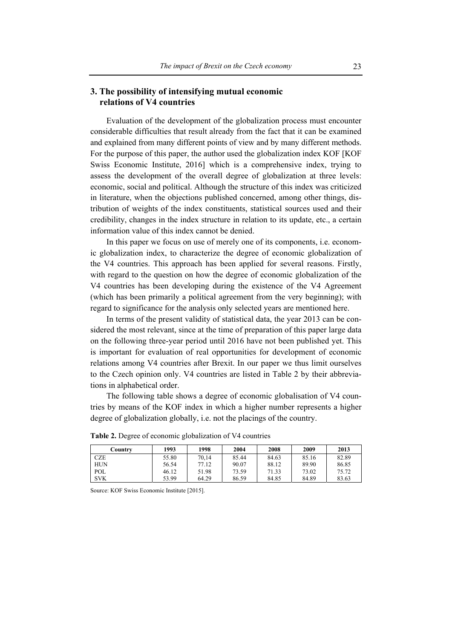# **3. The possibility of intensifying mutual economic relations of V4 countries**

Evaluation of the development of the globalization process must encounter considerable difficulties that result already from the fact that it can be examined and explained from many different points of view and by many different methods. For the purpose of this paper, the author used the globalization index KOF [KOF Swiss Economic Institute, 2016] which is a comprehensive index, trying to assess the development of the overall degree of globalization at three levels: economic, social and political. Although the structure of this index was criticized in literature, when the objections published concerned, among other things, distribution of weights of the index constituents, statistical sources used and their credibility, changes in the index structure in relation to its update, etc., a certain information value of this index cannot be denied.

In this paper we focus on use of merely one of its components, i.e. economic globalization index, to characterize the degree of economic globalization of the V4 countries. This approach has been applied for several reasons. Firstly, with regard to the question on how the degree of economic globalization of the V4 countries has been developing during the existence of the V4 Agreement (which has been primarily a political agreement from the very beginning); with regard to significance for the analysis only selected years are mentioned here.

In terms of the present validity of statistical data, the year 2013 can be considered the most relevant, since at the time of preparation of this paper large data on the following three-year period until 2016 have not been published yet. This is important for evaluation of real opportunities for development of economic relations among V4 countries after Brexit. In our paper we thus limit ourselves to the Czech opinion only. V4 countries are listed in Table 2 by their abbreviations in alphabetical order.

The following table shows a degree of economic globalisation of V4 countries by means of the KOF index in which a higher number represents a higher degree of globalization globally, i.e. not the placings of the country.

| Country    | 1993  | 1998  | 2004  | 2008  | 2009  | 2013  |
|------------|-------|-------|-------|-------|-------|-------|
| <b>CZE</b> | 55.80 | 70.14 | 85.44 | 84.63 | 85.16 | 82.89 |
| <b>HUN</b> | 56.54 | 77.12 | 90.07 | 88.12 | 89.90 | 86.85 |
| POL        | 46.12 | 51.98 | 73.59 | 71.33 | 73.02 | 75.72 |
| <b>SVK</b> | 53.99 | 64.29 | 86.59 | 84.85 | 84.89 | 83.63 |

**Table 2.** Degree of economic globalization of V4 countries

Source: KOF Swiss Economic Institute [2015].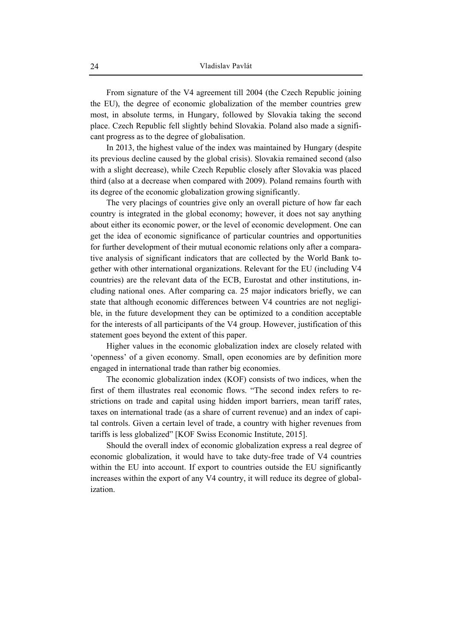From signature of the V4 agreement till 2004 (the Czech Republic joining the EU), the degree of economic globalization of the member countries grew most, in absolute terms, in Hungary, followed by Slovakia taking the second place. Czech Republic fell slightly behind Slovakia. Poland also made a significant progress as to the degree of globalisation.

In 2013, the highest value of the index was maintained by Hungary (despite its previous decline caused by the global crisis). Slovakia remained second (also with a slight decrease), while Czech Republic closely after Slovakia was placed third (also at a decrease when compared with 2009). Poland remains fourth with its degree of the economic globalization growing significantly.

The very placings of countries give only an overall picture of how far each country is integrated in the global economy; however, it does not say anything about either its economic power, or the level of economic development. One can get the idea of economic significance of particular countries and opportunities for further development of their mutual economic relations only after a comparative analysis of significant indicators that are collected by the World Bank together with other international organizations. Relevant for the EU (including V4 countries) are the relevant data of the ECB, Eurostat and other institutions, including national ones. After comparing ca. 25 major indicators briefly, we can state that although economic differences between V4 countries are not negligible, in the future development they can be optimized to a condition acceptable for the interests of all participants of the V4 group. However, justification of this statement goes beyond the extent of this paper.

Higher values in the economic globalization index are closely related with 'openness' of a given economy. Small, open economies are by definition more engaged in international trade than rather big economies.

The economic globalization index (KOF) consists of two indices, when the first of them illustrates real economic flows. "The second index refers to restrictions on trade and capital using hidden import barriers, mean tariff rates, taxes on international trade (as a share of current revenue) and an index of capital controls. Given a certain level of trade, a country with higher revenues from tariffs is less globalized" [KOF Swiss Economic Institute, 2015].

Should the overall index of economic globalization express a real degree of economic globalization, it would have to take duty-free trade of V4 countries within the EU into account. If export to countries outside the EU significantly increases within the export of any V4 country, it will reduce its degree of globalization.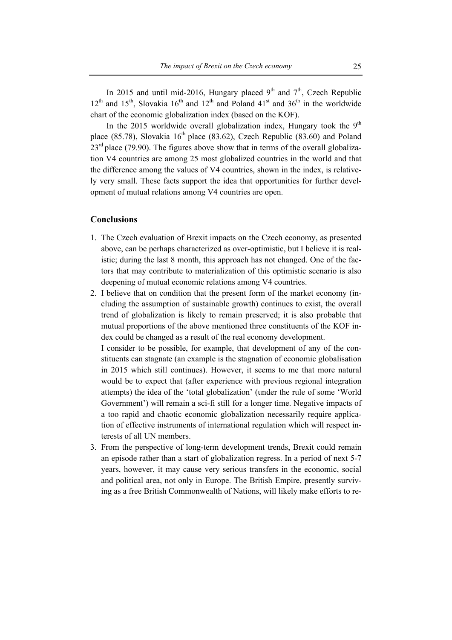In 2015 and until mid-2016, Hungary placed  $9<sup>th</sup>$  and  $7<sup>th</sup>$ , Czech Republic  $12<sup>th</sup>$  and  $15<sup>th</sup>$ , Slovakia  $16<sup>th</sup>$  and  $12<sup>th</sup>$  and Poland  $41<sup>st</sup>$  and  $36<sup>th</sup>$  in the worldwide chart of the economic globalization index (based on the KOF).

In the 2015 worldwide overall globalization index, Hungary took the  $9<sup>th</sup>$ place (85.78), Slovakia  $16<sup>th</sup>$  place (83.62), Czech Republic (83.60) and Poland  $23<sup>rd</sup>$  place (79.90). The figures above show that in terms of the overall globalization V4 countries are among 25 most globalized countries in the world and that the difference among the values of V4 countries, shown in the index, is relatively very small. These facts support the idea that opportunities for further development of mutual relations among V4 countries are open.

### **Conclusions**

- 1. The Czech evaluation of Brexit impacts on the Czech economy, as presented above, can be perhaps characterized as over-optimistic, but I believe it is realistic; during the last 8 month, this approach has not changed. One of the factors that may contribute to materialization of this optimistic scenario is also deepening of mutual economic relations among V4 countries.
- 2. I believe that on condition that the present form of the market economy (including the assumption of sustainable growth) continues to exist, the overall trend of globalization is likely to remain preserved; it is also probable that mutual proportions of the above mentioned three constituents of the KOF index could be changed as a result of the real economy development.

I consider to be possible, for example, that development of any of the constituents can stagnate (an example is the stagnation of economic globalisation in 2015 which still continues). However, it seems to me that more natural would be to expect that (after experience with previous regional integration attempts) the idea of the 'total globalization' (under the rule of some 'World Government') will remain a sci-fi still for a longer time. Negative impacts of a too rapid and chaotic economic globalization necessarily require application of effective instruments of international regulation which will respect interests of all UN members.

3. From the perspective of long-term development trends, Brexit could remain an episode rather than a start of globalization regress. In a period of next 5-7 years, however, it may cause very serious transfers in the economic, social and political area, not only in Europe. The British Empire, presently surviving as a free British Commonwealth of Nations, will likely make efforts to re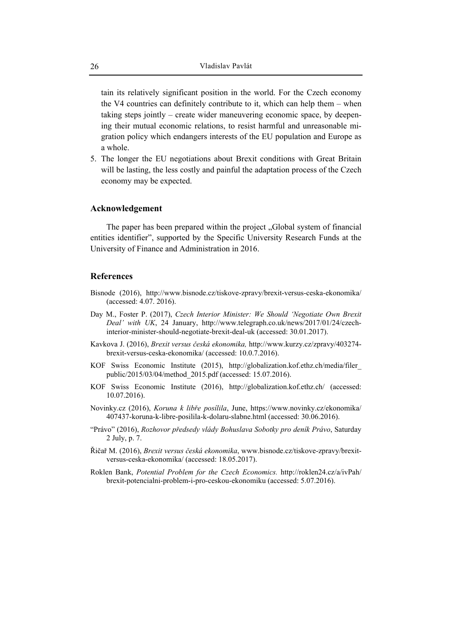tain its relatively significant position in the world. For the Czech economy the V4 countries can definitely contribute to it, which can help them – when taking steps jointly – create wider maneuvering economic space, by deepening their mutual economic relations, to resist harmful and unreasonable migration policy which endangers interests of the EU population and Europe as a whole.

5. The longer the EU negotiations about Brexit conditions with Great Britain will be lasting, the less costly and painful the adaptation process of the Czech economy may be expected.

### **Acknowledgement**

The paper has been prepared within the project "Global system of financial" entities identifier", supported by the Specific University Research Funds at the University of Finance and Administration in 2016.

### **References**

- Bisnode (2016), http://www.bisnode.cz/tiskove-zpravy/brexit-versus-ceska-ekonomika/ (accessed: 4.07. 2016).
- Day M., Foster P. (2017), *Czech Interior Minister: We Should 'Negotiate Own Brexit Deal' with UK*, 24 January, http://www.telegraph.co.uk/news/2017/01/24/czechinterior-minister-should-negotiate-brexit-deal-uk (accessed: 30.01.2017).
- Kavkova J. (2016), *Brexit versus česká ekonomika,* http://www.kurzy.cz/zpravy/403274 brexit-versus-ceska-ekonomika/ (accessed: 10.0.7.2016).
- KOF Swiss Economic Institute (2015), http://globalization.kof.ethz.ch/media/filer\_ public/2015/03/04/method\_2015.pdf (accessed: 15.07.2016).
- KOF Swiss Economic Institute (2016), http://globalization.kof.ethz.ch/ (accessed: 10.07.2016).
- Novinky.cz (2016), *Koruna k libře posílila*, June, https://www.novinky.cz/ekonomika/ 407437-koruna-k-libre-posilila-k-dolaru-slabne.html (accessed: 30.06.2016).
- "Právo" (2016), *Rozhovor předsedy vlády Bohuslava Sobotky pro deník Právo*, Saturday 2 July, p. 7.
- Řičař M. (2016), *Brexit versus česká ekonomika*, www.bisnode.cz/tiskove-zpravy/brexitversus-ceska-ekonomika/ (accessed: 18.05.2017).
- Roklen Bank, *Potential Problem for the Czech Economics.* http://roklen24.cz/a/ivPah/ brexit-potencialni-problem-i-pro-ceskou-ekonomiku (accessed: 5.07.2016).